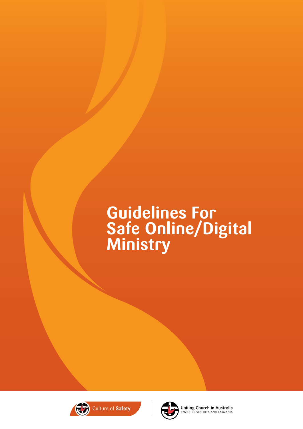# **Guidelines For Safe Online/Digital Ministry**





**Uniting Church in Australia**<br>SYNOD OF VICTORIA AND TASMANIA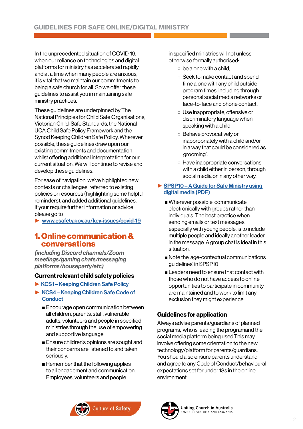In the unprecedented situation of COVID-19, when our reliance on technologies and digital platforms for ministry has accelerated rapidly and at a time when many people are anxious, it is vital that we maintain our commitments to being a safe church for all. So we offer these guidelines to assist you in maintaining safe ministry practices.

These guidelines are underpinned by The National Principles for Child Safe Organisations, Victorian Child-Safe Standards, the National UCA Child Safe Policy Framework and the Synod Keeping Children Safe Policy. Wherever possible, these guidelines draw upon our existing commitments and documentation, whilst offering additional interpretation for our current situation. We will continue to revise and develop these guidelines.

For ease of navigation, we've highlighted new contexts or challenges, referred to existing policies or resources (highlighting some helpful reminders), and added additional guidelines. If your require further information or advice please go to

► [www.esafety.gov.au/key-issues/covid-19](https://www.esafety.gov.au/key-issues/covid-19)

## 1. Online communication & conversations

*(including Discord channels/Zoom meetings/gaming chats/messaging platforms/houseparty/etc)*

## Current relevant child safety policies

- ► [KCS1 Keeping Children Safe Policy](https://ucavictas.org.au/keepingchildrensafe/wp-content/uploads/2019/04/KCS1-Keeping-Children-Safe-Policy-with-Reportable-Conduct-Feb-2019.pdf)
- ► [KCS4 Keeping Children Safe Code of](https://ucavictas.org.au/keepingchildrensafe/wp-content/uploads/2019/01/KCS4-Code-of-Conduct-update-Dec-2018.pdf)  **[Conduct](https://ucavictas.org.au/keepingchildrensafe/wp-content/uploads/2019/01/KCS4-Code-of-Conduct-update-Dec-2018.pdf)** 
	- Encourage open communication between all children, parents, staff, vulnerable adults, volunteers and people in specified ministries through the use of empowering and supportive language.
	- Ensure children's opinions are sought and their concerns are listened to and taken seriously.
	- Remember that the following applies to all engagement and communication. Employees, volunteers and people

in specified ministries will not unless otherwise formally authorised:

- $\circ$  be alone with a child.
- Seek to make contact and spend time alone with any child outside program times, including through personal social media networks or face-to-face and phone contact.
- Use inappropriate, offensive or discriminatory language when speaking with a child.
- Behave provocatively or inappropriately with a child and/or in a way that could be considered as 'grooming'.
- Have inappropriate conversations with a child either in person, through social media or in any other way.

## ► SPSP10 – A Guide for Safe Ministry using [digital media \(PDF\)](https://ucavictas.org.au/keepingchildrensafe/wp-content/uploads/2017/12/SPSP10-A-Guide-for-Safe-Ministry-using-digital-media.pdf)

- Wherever possible, communicate electronically with groups rather than individuals. The best practice when sending emails or text messages, especially with young people, is to include multiple people and ideally another leader in the message. A group chat is ideal in this situation.
- Note the 'age-contextual communications guidelines' in SPSP10
- Leaders need to ensure that contact with those who do not have access to online opportunities to participate in community are maintained and to work to limit any exclusion they might experience

## Guidelines for application

Always advise parents/guardians of planned programs, who is leading the programand the social media platform being used.This may involve offering some orientation to the new technology/platform for parents/guardians. You should also ensure parents understand and agree to any Code of Conduct/behavioural expectations set for under 18s in the online environment.



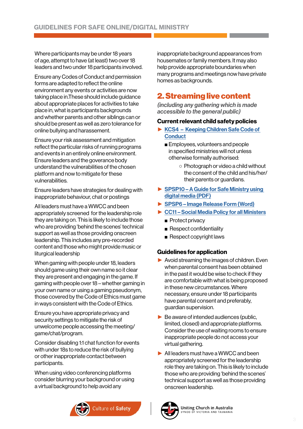Where participants may be under 18 years of age, attempt to have (at least) two over 18 leaders and two under 18 participants involved.

Ensure any Codes of Conduct and permission forms are adapted to reflect the online environment any events or activities are now taking place in.These should include guidance about appropriate places for activities to take place in, what is participants backgrounds and whether parents and other siblings can or should be present as well as zero tolerance for online bullying and harassement.

Ensure your risk assessment and mitigation reflect the particular risks of running programs and events in an entirely online environment. Ensure leaders and the goverance body understand the vulnerabilities of the chosen platform and now to mitigate for these vulnerabilities.

Ensure leaders have strategies for dealing with inappropriate behaviour, chat or postings

All leaders must have a WWCC and been appropriately screened for the leadership role they are taking on. This is likely to include those who are providing 'behind the scenes' technical support as well as those providing onscreen leadership. This includes any pre-recorded content and those who might provide music or liturgical leadership

When gaming with people under 18, leaders should game using their own name so it clear they are present and engaging in the game. If gaming with people over 18 – whether gaming in your own name or using a gaming pseudonym, those covered by the Code of Ethics must game in ways consistent with the Code of Ethics.

Ensure you have appropriate privacy and security settings to mitigate the risk of unwelcome people accessing the meeting/ game/chat/program.

Consider disabling 1:1 chat function for events with under 18s to reduce the risk of bullying or other inappropriate contact between participants.

When using video conferencing platforms consider blurring your background or using a virtual background to help avoid any

Culture of Safety

inappropriate background appearances from housemates or family members. It may also help provide appropriate boundaries when many programs and meetings now have private homes as backgrounds.

## 2. Streaming live content

*(including any gathering which is made accessible to the general public)*

## Current relevant child safety policies

- ► [KCS4 Keeping Children Safe Code of](https://ucavictas.org.au/keepingchildrensafe/wp-content/uploads/2019/01/KCS4-Code-of-Conduct-update-Dec-2018.pdf)  **[Conduct](https://ucavictas.org.au/keepingchildrensafe/wp-content/uploads/2019/01/KCS4-Code-of-Conduct-update-Dec-2018.pdf)** 
	- Employees, volunteers and people in specified ministries will not unless otherwise formally authorised:
		- Photograph or video a child without the consent of the child and his/her/ their parents or guardians.
- ► SPSP10 A Guide for Safe Ministry using [digital media \(PDF\)](https://ucavictas.org.au/keepingchildrensafe/wp-content/uploads/2017/12/SPSP10-A-Guide-for-Safe-Ministry-using-digital-media.pdf)
- ► [SPSP6 Image Release Form \(Word\)](https://ucavictas.org.au/keepingchildrensafe/wp-content/uploads/2018/06/SPSP6-Image-Release-Word-June-2018.docx)
- ► [CC11 Social Media Policy for all Ministers](https://ucavictas.org.au/keepingchildrensafe/wp-content/uploads/2019/01/Social-Media-Policy-for-Ministers-DEC-2018.pdf)
	- Protect privacy
	- Respect confidentiality
	- Respect copyright laws

## Guidelines for application

- ► Avoid streaming the images of children. Even when parental consent has been obtained in the past it would be wise to check if they are comfortable with what is being proposed in these new circumstances. Where necessary, ensure under 18 participants have parental consent and preferably, guardian supervision.
- $\blacktriangleright$  Be aware of intended audiences (public, limited, closed) and appropriate platforms. Consider the use of waiting rooms to ensure inappropriate people do not access your virtual gathering.
- ► All leaders must have a WWCC and been appropriately screened for the leadership role they are taking on. This is likely to include those who are providing 'behind the scenes' technical support as well as those providing onscreen leadership.